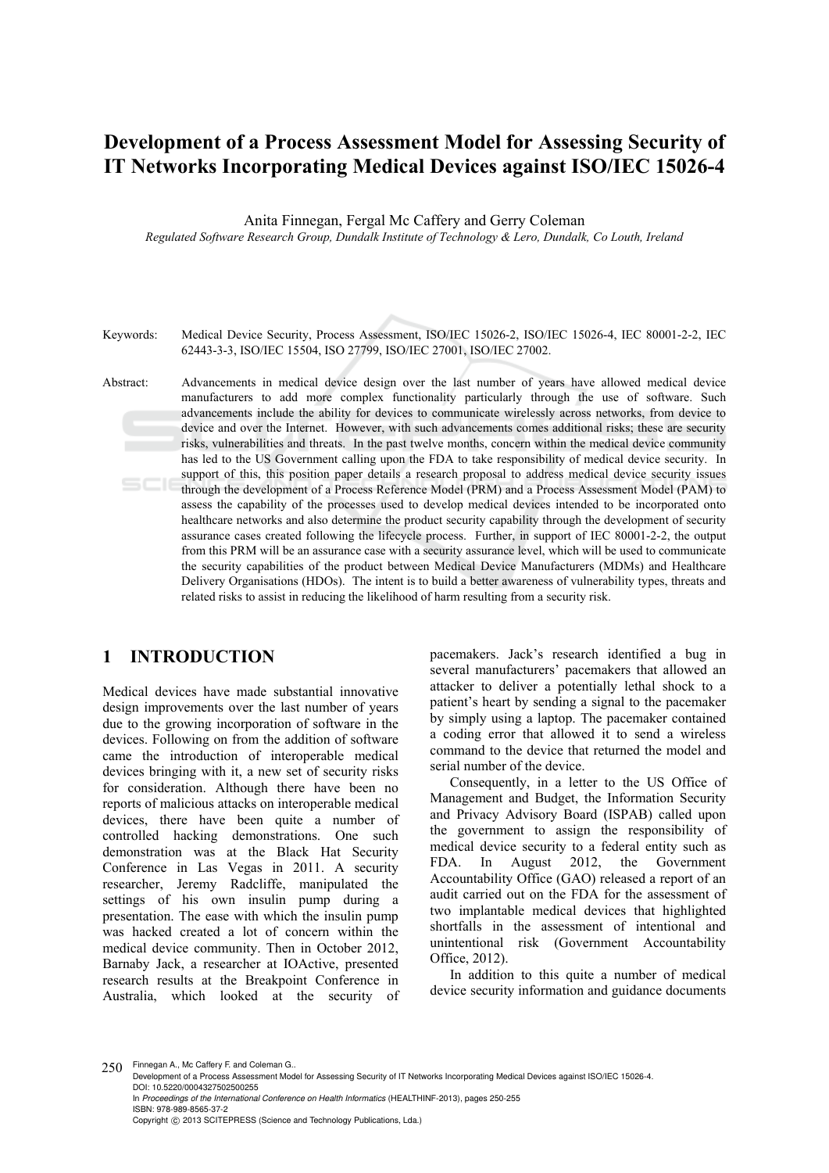## **Development of a Process Assessment Model for Assessing Security of IT Networks Incorporating Medical Devices against ISO/IEC 15026-4**

Anita Finnegan, Fergal Mc Caffery and Gerry Coleman

*Regulated Software Research Group, Dundalk Institute of Technology & Lero, Dundalk, Co Louth, Ireland* 

Keywords: Medical Device Security, Process Assessment, ISO/IEC 15026-2, ISO/IEC 15026-4, IEC 80001-2-2, IEC 62443-3-3, ISO/IEC 15504, ISO 27799, ISO/IEC 27001, ISO/IEC 27002.

Abstract: Advancements in medical device design over the last number of years have allowed medical device manufacturers to add more complex functionality particularly through the use of software. Such advancements include the ability for devices to communicate wirelessly across networks, from device to device and over the Internet. However, with such advancements comes additional risks; these are security risks, vulnerabilities and threats. In the past twelve months, concern within the medical device community has led to the US Government calling upon the FDA to take responsibility of medical device security. In support of this, this position paper details a research proposal to address medical device security issues through the development of a Process Reference Model (PRM) and a Process Assessment Model (PAM) to assess the capability of the processes used to develop medical devices intended to be incorporated onto healthcare networks and also determine the product security capability through the development of security assurance cases created following the lifecycle process. Further, in support of IEC 80001-2-2, the output from this PRM will be an assurance case with a security assurance level, which will be used to communicate the security capabilities of the product between Medical Device Manufacturers (MDMs) and Healthcare Delivery Organisations (HDOs). The intent is to build a better awareness of vulnerability types, threats and related risks to assist in reducing the likelihood of harm resulting from a security risk.

## **1 INTRODUCTION**

Medical devices have made substantial innovative design improvements over the last number of years due to the growing incorporation of software in the devices. Following on from the addition of software came the introduction of interoperable medical devices bringing with it, a new set of security risks for consideration. Although there have been no reports of malicious attacks on interoperable medical devices, there have been quite a number of controlled hacking demonstrations. One such demonstration was at the Black Hat Security Conference in Las Vegas in 2011. A security researcher, Jeremy Radcliffe, manipulated the settings of his own insulin pump during a presentation. The ease with which the insulin pump was hacked created a lot of concern within the medical device community. Then in October 2012, Barnaby Jack, a researcher at IOActive, presented research results at the Breakpoint Conference in Australia, which looked at the security of pacemakers. Jack's research identified a bug in several manufacturers' pacemakers that allowed an attacker to deliver a potentially lethal shock to a patient's heart by sending a signal to the pacemaker by simply using a laptop. The pacemaker contained a coding error that allowed it to send a wireless command to the device that returned the model and serial number of the device.

Consequently, in a letter to the US Office of Management and Budget, the Information Security and Privacy Advisory Board (ISPAB) called upon the government to assign the responsibility of medical device security to a federal entity such as FDA. In August 2012, the Government Accountability Office (GAO) released a report of an audit carried out on the FDA for the assessment of two implantable medical devices that highlighted shortfalls in the assessment of intentional and unintentional risk (Government Accountability Office, 2012).

In addition to this quite a number of medical device security information and guidance documents

250 Finnegan A., Mc Caffery F. and Coleman G.

Development of a Process Assessment Model for Assessing Security of IT Networks Incorporating Medical Devices against ISO/IEC 15026-4. DOI: 10.5220/0004327502500255 In *Proceedings of the International Conference on Health Informatics* (HEALTHINF-2013), pages 250-255 ISBN: 978-989-8565-37-2 Copyright © 2013 SCITEPRESS (Science and Technology Publications, Lda.)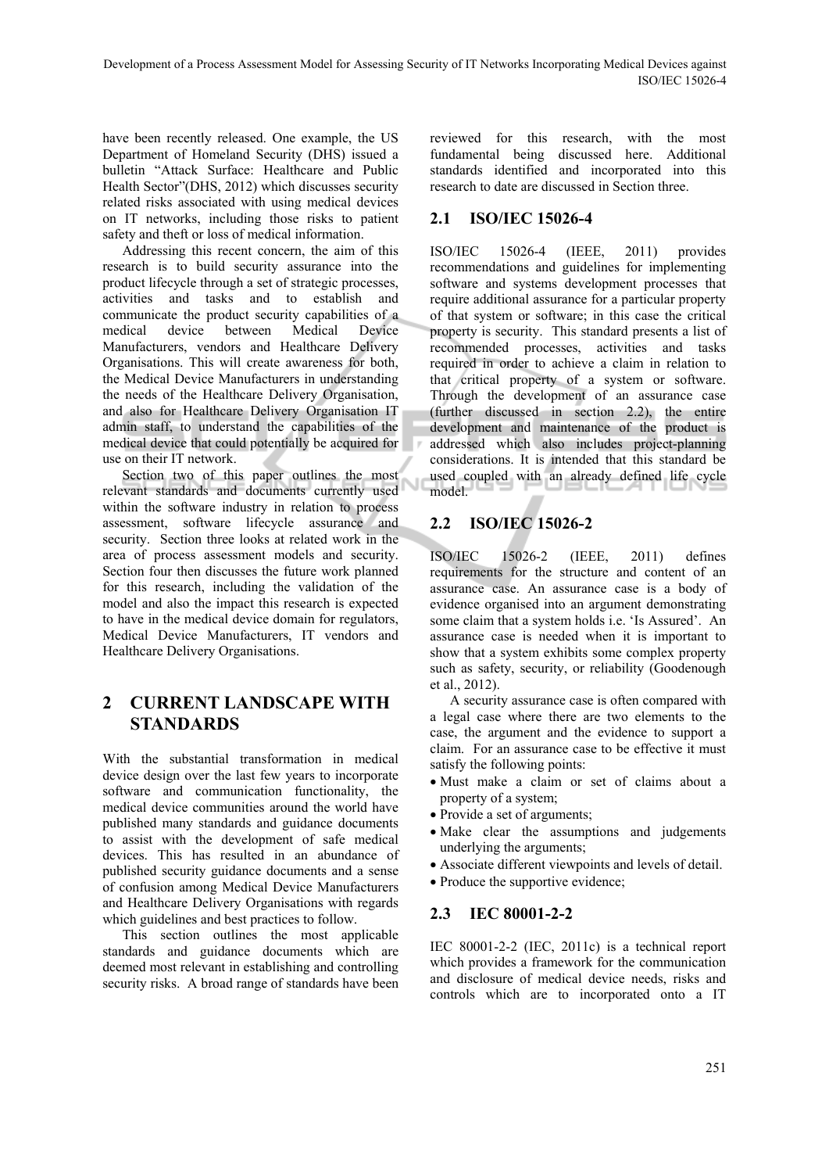have been recently released. One example, the US Department of Homeland Security (DHS) issued a bulletin "Attack Surface: Healthcare and Public Health Sector"(DHS, 2012) which discusses security related risks associated with using medical devices on IT networks, including those risks to patient safety and theft or loss of medical information.

Addressing this recent concern, the aim of this research is to build security assurance into the product lifecycle through a set of strategic processes, activities and tasks and to establish and communicate the product security capabilities of a medical device between Medical Device Manufacturers, vendors and Healthcare Delivery Organisations. This will create awareness for both, the Medical Device Manufacturers in understanding the needs of the Healthcare Delivery Organisation, and also for Healthcare Delivery Organisation IT admin staff, to understand the capabilities of the medical device that could potentially be acquired for use on their IT network.

Section two of this paper outlines the most relevant standards and documents currently used within the software industry in relation to process assessment, software lifecycle assurance and security. Section three looks at related work in the area of process assessment models and security. Section four then discusses the future work planned for this research, including the validation of the model and also the impact this research is expected to have in the medical device domain for regulators, Medical Device Manufacturers, IT vendors and Healthcare Delivery Organisations.

## **2 CURRENT LANDSCAPE WITH STANDARDS**

With the substantial transformation in medical device design over the last few years to incorporate software and communication functionality, the medical device communities around the world have published many standards and guidance documents to assist with the development of safe medical devices. This has resulted in an abundance of published security guidance documents and a sense of confusion among Medical Device Manufacturers and Healthcare Delivery Organisations with regards which guidelines and best practices to follow.

This section outlines the most applicable standards and guidance documents which are deemed most relevant in establishing and controlling security risks. A broad range of standards have been reviewed for this research, with the most fundamental being discussed here. Additional standards identified and incorporated into this research to date are discussed in Section three.

#### **2.1 ISO/IEC 15026-4**

ISO/IEC 15026-4 (IEEE, 2011) provides recommendations and guidelines for implementing software and systems development processes that require additional assurance for a particular property of that system or software; in this case the critical property is security. This standard presents a list of recommended processes, activities and tasks required in order to achieve a claim in relation to that critical property of a system or software. Through the development of an assurance case (further discussed in section 2.2), the entire development and maintenance of the product is addressed which also includes project-planning considerations. It is intended that this standard be used coupled with an already defined life cycle model.

## **2.2 ISO/IEC 15026-2**

ISO/IEC 15026-2 (IEEE, 2011) defines requirements for the structure and content of an assurance case. An assurance case is a body of evidence organised into an argument demonstrating some claim that a system holds i.e. 'Is Assured'. An assurance case is needed when it is important to show that a system exhibits some complex property such as safety, security, or reliability (Goodenough et al., 2012).

A security assurance case is often compared with a legal case where there are two elements to the case, the argument and the evidence to support a claim. For an assurance case to be effective it must satisfy the following points:

- Must make a claim or set of claims about a property of a system;
- Provide a set of arguments;
- Make clear the assumptions and judgements underlying the arguments;
- Associate different viewpoints and levels of detail.
- Produce the supportive evidence;

#### **2.3 IEC 80001-2-2**

IEC 80001-2-2 (IEC, 2011c) is a technical report which provides a framework for the communication and disclosure of medical device needs, risks and controls which are to incorporated onto a IT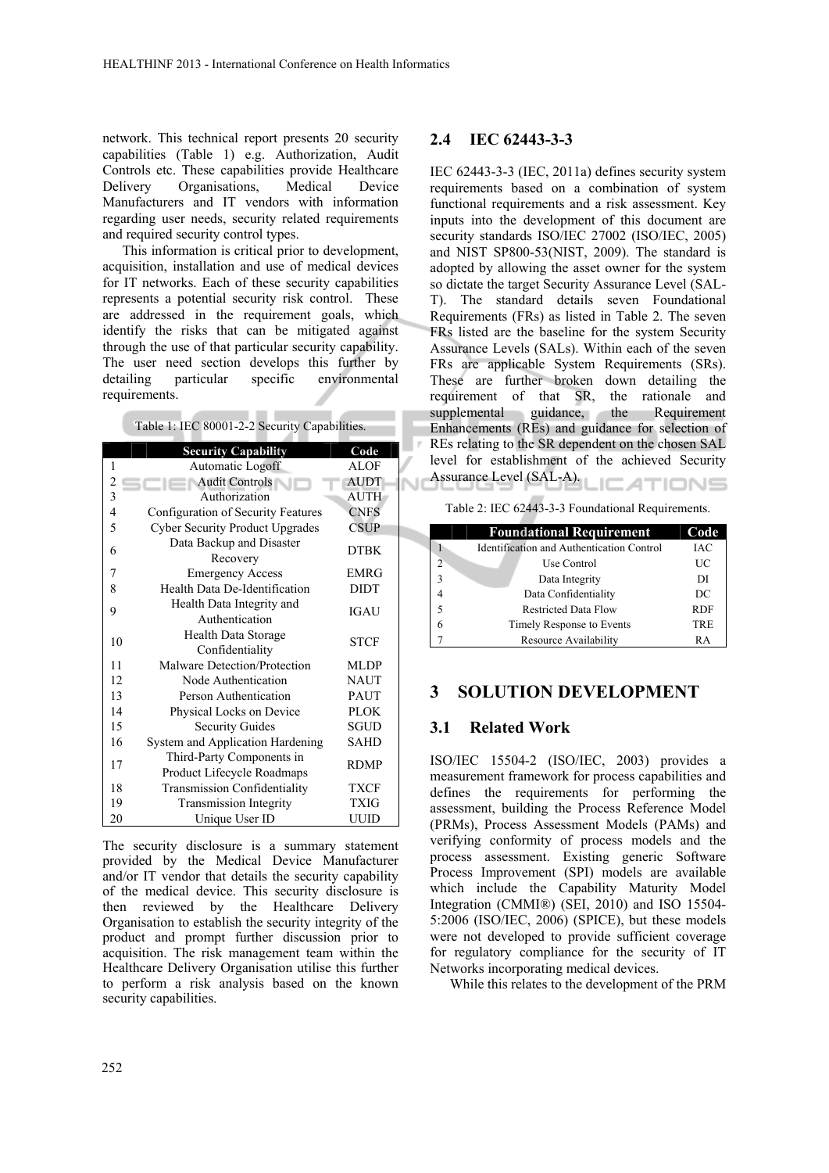network. This technical report presents 20 security capabilities (Table 1) e.g. Authorization, Audit Controls etc. These capabilities provide Healthcare Delivery Organisations, Medical Device Manufacturers and IT vendors with information regarding user needs, security related requirements and required security control types.

This information is critical prior to development, acquisition, installation and use of medical devices for IT networks. Each of these security capabilities represents a potential security risk control. These are addressed in the requirement goals, which identify the risks that can be mitigated against through the use of that particular security capability. The user need section develops this further by detailing particular specific environmental requirements.

|  |  |  | Table 1: IEC 80001-2-2 Security Capabilities. |
|--|--|--|-----------------------------------------------|
|--|--|--|-----------------------------------------------|

**COLOR** 

. .

۰

|                | <b>Security Capability</b>                              | Code        |
|----------------|---------------------------------------------------------|-------------|
| 1              | Automatic Logoff                                        | <b>ALOF</b> |
| $\overline{c}$ | <b>Audit Controls</b>                                   | <b>AUDT</b> |
| 3              | Authorization                                           | AUTH        |
| 4              | Configuration of Security Features                      | <b>CNFS</b> |
| 5              | <b>Cyber Security Product Upgrades</b>                  | <b>CSUP</b> |
| 6              | Data Backup and Disaster<br>Recovery                    | <b>DTBK</b> |
| 7              | <b>Emergency Access</b>                                 | <b>EMRG</b> |
| 8              | Health Data De-Identification                           | <b>DIDT</b> |
| 9              | Health Data Integrity and<br>Authentication             | <b>IGAU</b> |
| 10             | Health Data Storage<br>Confidentiality                  | <b>STCF</b> |
| 11             | Malware Detection/Protection                            | <b>MLDP</b> |
| 12             | Node Authentication                                     | <b>NAUT</b> |
| 13             | Person Authentication                                   | <b>PAUT</b> |
| 14             | Physical Locks on Device                                | <b>PLOK</b> |
| 15             | <b>Security Guides</b>                                  | <b>SGUD</b> |
| 16             | System and Application Hardening                        | <b>SAHD</b> |
| 17             | Third-Party Components in<br>Product Lifecycle Roadmaps | <b>RDMP</b> |
| 18             | Transmission Confidentiality                            | <b>TXCF</b> |
| 19             | <b>Transmission Integrity</b>                           | TXIG        |
| 20             | Unique User ID                                          | UUID        |

The security disclosure is a summary statement provided by the Medical Device Manufacturer and/or IT vendor that details the security capability of the medical device. This security disclosure is then reviewed by the Healthcare Delivery Organisation to establish the security integrity of the product and prompt further discussion prior to acquisition. The risk management team within the Healthcare Delivery Organisation utilise this further to perform a risk analysis based on the known security capabilities.

#### **2.4 IEC 62443-3-3**

IEC 62443-3-3 (IEC, 2011a) defines security system requirements based on a combination of system functional requirements and a risk assessment. Key inputs into the development of this document are security standards ISO/IEC 27002 (ISO/IEC, 2005) and NIST SP800-53(NIST, 2009). The standard is adopted by allowing the asset owner for the system so dictate the target Security Assurance Level (SAL-T). The standard details seven Foundational Requirements (FRs) as listed in Table 2. The seven FRs listed are the baseline for the system Security Assurance Levels (SALs). Within each of the seven FRs are applicable System Requirements (SRs). These are further broken down detailing the requirement of that SR, the rationale and supplemental guidance, the Requirement Enhancements (REs) and guidance for selection of REs relating to the SR dependent on the chosen SAL level for establishment of the achieved Security Assurance Level (SAL-A).

Table 2: IEC 62443-3-3 Foundational Requirements.

|              | <b>Foundational Requirement</b>           | Code       |
|--------------|-------------------------------------------|------------|
|              | Identification and Authentication Control | <b>IAC</b> |
| 2            | Use Control                               | UC         |
| $\mathbf{3}$ | Data Integrity                            | DI         |
|              | Data Confidentiality                      | DC         |
|              | <b>Restricted Data Flow</b>               | <b>RDF</b> |
|              | Timely Response to Events                 | TRE        |
|              | Resource Availability                     | RA         |

#### **3 SOLUTION DEVELOPMENT**

#### **3.1 Related Work**

ISO/IEC 15504-2 (ISO/IEC, 2003) provides a measurement framework for process capabilities and defines the requirements for performing the assessment, building the Process Reference Model (PRMs), Process Assessment Models (PAMs) and verifying conformity of process models and the process assessment. Existing generic Software Process Improvement (SPI) models are available which include the Capability Maturity Model Integration (CMMI®) (SEI, 2010) and ISO 15504- 5:2006 (ISO/IEC, 2006) (SPICE), but these models were not developed to provide sufficient coverage for regulatory compliance for the security of IT Networks incorporating medical devices.

While this relates to the development of the PRM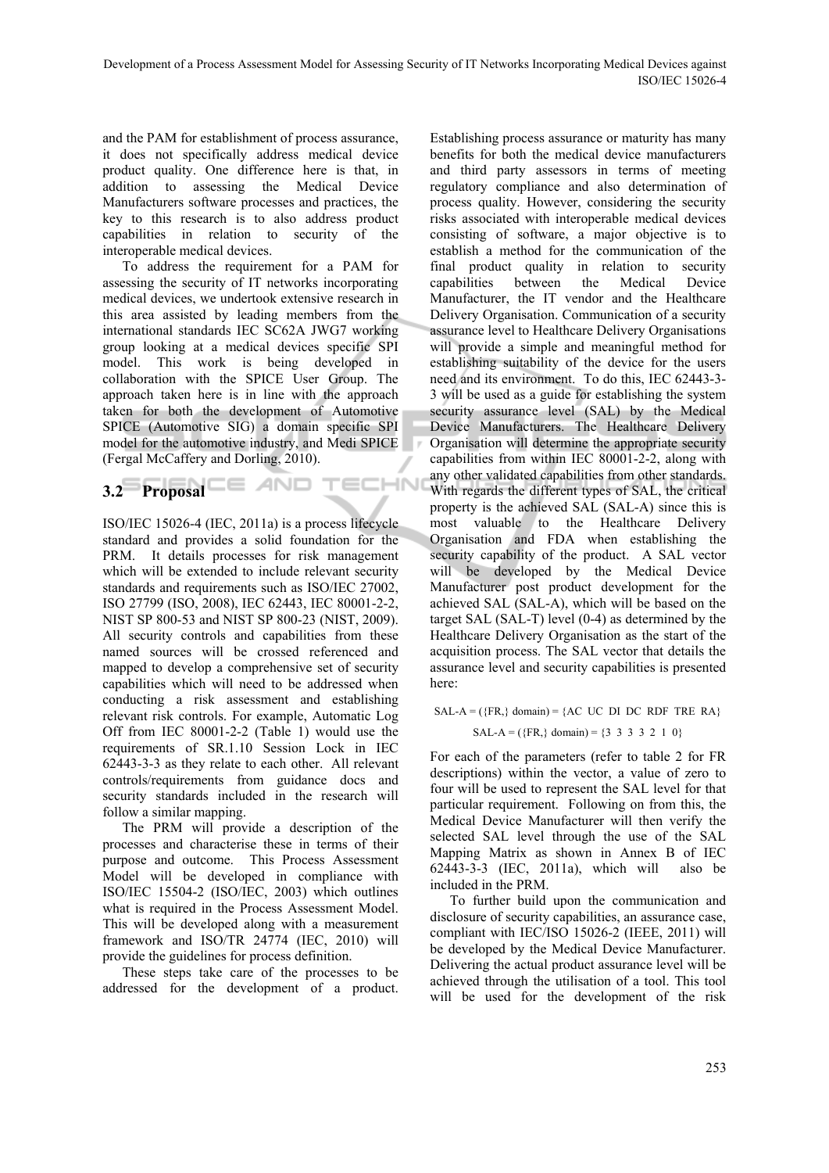and the PAM for establishment of process assurance, it does not specifically address medical device product quality. One difference here is that, in addition to assessing the Medical Device Manufacturers software processes and practices, the key to this research is to also address product capabilities in relation to security of the interoperable medical devices.

To address the requirement for a PAM for assessing the security of IT networks incorporating medical devices, we undertook extensive research in this area assisted by leading members from the international standards IEC SC62A JWG7 working group looking at a medical devices specific SPI model. This work is being developed in collaboration with the SPICE User Group. The approach taken here is in line with the approach taken for both the development of Automotive SPICE (Automotive SIG) a domain specific SPI model for the automotive industry, and Medi SPICE (Fergal McCaffery and Dorling, 2010).

# **3.2 Proposal E AND TECHN**

ISO/IEC 15026-4 (IEC, 2011a) is a process lifecycle standard and provides a solid foundation for the PRM. It details processes for risk management which will be extended to include relevant security standards and requirements such as ISO/IEC 27002, ISO 27799 (ISO, 2008), IEC 62443, IEC 80001-2-2, NIST SP 800-53 and NIST SP 800-23 (NIST, 2009). All security controls and capabilities from these named sources will be crossed referenced and mapped to develop a comprehensive set of security capabilities which will need to be addressed when conducting a risk assessment and establishing relevant risk controls. For example, Automatic Log Off from IEC 80001-2-2 (Table 1) would use the requirements of SR.1.10 Session Lock in IEC 62443-3-3 as they relate to each other. All relevant controls/requirements from guidance docs and security standards included in the research will follow a similar mapping.

The PRM will provide a description of the processes and characterise these in terms of their purpose and outcome. This Process Assessment Model will be developed in compliance with ISO/IEC 15504-2 (ISO/IEC, 2003) which outlines what is required in the Process Assessment Model. This will be developed along with a measurement framework and ISO/TR 24774 (IEC, 2010) will provide the guidelines for process definition.

These steps take care of the processes to be addressed for the development of a product.

Establishing process assurance or maturity has many benefits for both the medical device manufacturers and third party assessors in terms of meeting regulatory compliance and also determination of process quality. However, considering the security risks associated with interoperable medical devices consisting of software, a major objective is to establish a method for the communication of the final product quality in relation to security capabilities between the Medical Device Manufacturer, the IT vendor and the Healthcare Delivery Organisation. Communication of a security assurance level to Healthcare Delivery Organisations will provide a simple and meaningful method for establishing suitability of the device for the users need and its environment. To do this, IEC 62443-3- 3 will be used as a guide for establishing the system security assurance level (SAL) by the Medical Device Manufacturers. The Healthcare Delivery Organisation will determine the appropriate security capabilities from within IEC 80001-2-2, along with any other validated capabilities from other standards. With regards the different types of SAL, the critical property is the achieved SAL (SAL-A) since this is most valuable to the Healthcare Delivery Organisation and FDA when establishing the security capability of the product. A SAL vector will be developed by the Medical Device Manufacturer post product development for the achieved SAL (SAL-A), which will be based on the target SAL (SAL-T) level (0-4) as determined by the Healthcare Delivery Organisation as the start of the acquisition process. The SAL vector that details the assurance level and security capabilities is presented here:

#### $SAL-A = (\{FR, \} \text{ domain}) = \{AC \text{ UC} \text{DI} \text{DC} \text{RDF} \text{TRE} \text{RA}\}\$ SAL-A = ( ${FR,}$  domain) =  ${3 \ 3 \ 3 \ 3 \ 2 \ 1 \ 0}$

For each of the parameters (refer to table 2 for FR descriptions) within the vector, a value of zero to four will be used to represent the SAL level for that particular requirement. Following on from this, the Medical Device Manufacturer will then verify the selected SAL level through the use of the SAL Mapping Matrix as shown in Annex B of IEC 62443-3-3 (IEC, 2011a), which will also be included in the PRM.

To further build upon the communication and disclosure of security capabilities, an assurance case, compliant with IEC/ISO 15026-2 (IEEE, 2011) will be developed by the Medical Device Manufacturer. Delivering the actual product assurance level will be achieved through the utilisation of a tool. This tool will be used for the development of the risk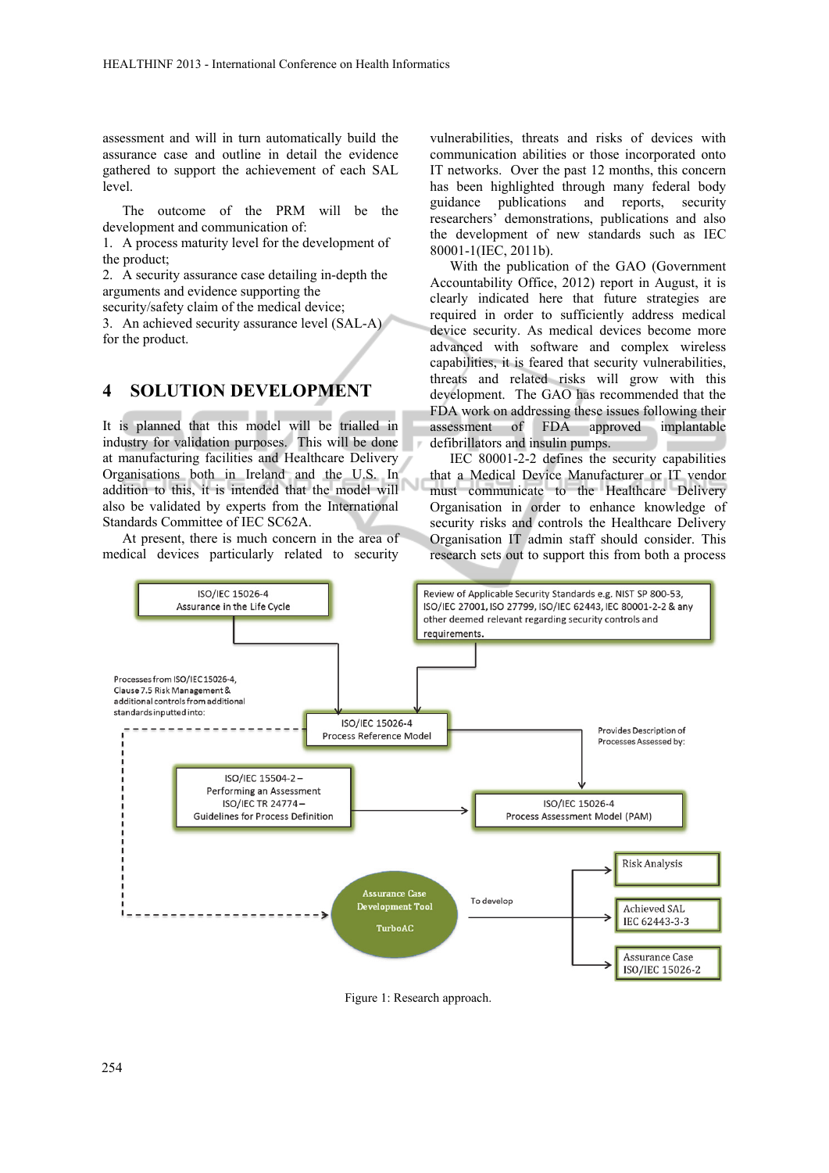assessment and will in turn automatically build the assurance case and outline in detail the evidence gathered to support the achievement of each SAL level.

The outcome of the PRM will be the development and communication of:

1. A process maturity level for the development of the product;

2. A security assurance case detailing in-depth the arguments and evidence supporting the

security/safety claim of the medical device;

3. An achieved security assurance level (SAL-A) for the product.

#### **4 SOLUTION DEVELOPMENT**

It is planned that this model will be trialled in industry for validation purposes. This will be done at manufacturing facilities and Healthcare Delivery Organisations both in Ireland and the U.S. In addition to this, it is intended that the model will also be validated by experts from the International Standards Committee of IEC SC62A.

At present, there is much concern in the area of medical devices particularly related to security

vulnerabilities, threats and risks of devices with communication abilities or those incorporated onto IT networks. Over the past 12 months, this concern has been highlighted through many federal body guidance publications and reports, security researchers' demonstrations, publications and also the development of new standards such as IEC 80001-1(IEC, 2011b).

With the publication of the GAO (Government Accountability Office, 2012) report in August, it is clearly indicated here that future strategies are required in order to sufficiently address medical device security. As medical devices become more advanced with software and complex wireless capabilities, it is feared that security vulnerabilities, threats and related risks will grow with this development. The GAO has recommended that the FDA work on addressing these issues following their assessment of FDA approved implantable defibrillators and insulin pumps.

IEC 80001-2-2 defines the security capabilities that a Medical Device Manufacturer or IT vendor must communicate to the Healthcare Delivery Organisation in order to enhance knowledge of security risks and controls the Healthcare Delivery Organisation IT admin staff should consider. This research sets out to support this from both a process



Figure 1: Research approach.